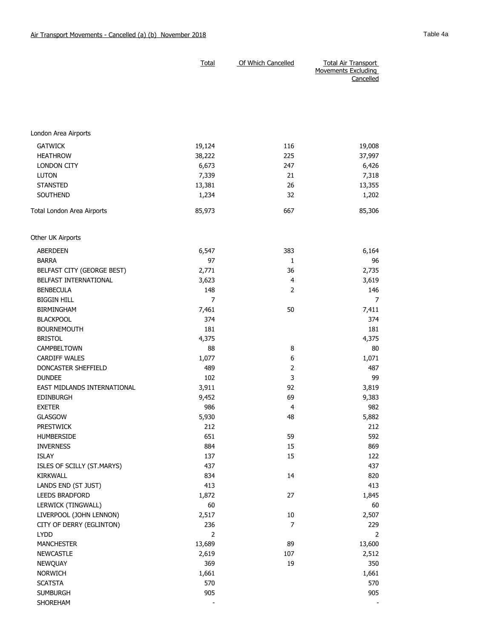|                                        | <b>Total</b>   | Of Which Cancelled | <b>Total Air Transport</b><br><b>Movements Excluding</b><br>Cancelled |
|----------------------------------------|----------------|--------------------|-----------------------------------------------------------------------|
|                                        |                |                    |                                                                       |
| London Area Airports                   |                |                    |                                                                       |
| <b>GATWICK</b>                         | 19,124         | 116                | 19,008                                                                |
| <b>HEATHROW</b>                        | 38,222         | 225                | 37,997                                                                |
| LONDON CITY                            | 6,673          | 247                | 6,426                                                                 |
| <b>LUTON</b>                           | 7,339          | 21                 | 7,318                                                                 |
| <b>STANSTED</b>                        | 13,381         | 26                 | 13,355                                                                |
| SOUTHEND                               | 1,234          | 32                 | 1,202                                                                 |
| Total London Area Airports             | 85,973         | 667                | 85,306                                                                |
| Other UK Airports                      |                |                    |                                                                       |
| ABERDEEN                               | 6,547          | 383                | 6,164                                                                 |
| <b>BARRA</b>                           | 97             | 1                  | 96                                                                    |
| BELFAST CITY (GEORGE BEST)             | 2,771          | 36                 | 2,735                                                                 |
| BELFAST INTERNATIONAL                  | 3,623          | 4                  | 3,619                                                                 |
| <b>BENBECULA</b>                       | 148            | 2                  | 146                                                                   |
| <b>BIGGIN HILL</b>                     | $\overline{7}$ |                    | 7                                                                     |
| <b>BIRMINGHAM</b>                      | 7,461          | 50                 | 7,411                                                                 |
| <b>BLACKPOOL</b>                       | 374            |                    | 374                                                                   |
| <b>BOURNEMOUTH</b>                     | 181            |                    | 181                                                                   |
| <b>BRISTOL</b>                         | 4,375          |                    | 4,375                                                                 |
| CAMPBELTOWN                            | 88             | 8                  | 80                                                                    |
| <b>CARDIFF WALES</b>                   | 1,077          | 6                  | 1,071                                                                 |
| DONCASTER SHEFFIELD                    | 489            | $\overline{2}$     | 487                                                                   |
| <b>DUNDEE</b>                          | 102            | 3                  | 99                                                                    |
| EAST MIDLANDS INTERNATIONAL            | 3,911          | 92                 | 3,819                                                                 |
| <b>EDINBURGH</b>                       | 9,452          | 69                 | 9,383                                                                 |
| <b>EXETER</b>                          | 986            | 4                  | 982                                                                   |
| <b>GLASGOW</b>                         | 5,930          | 48                 | 5,882                                                                 |
| <b>PRESTWICK</b>                       | 212            |                    | 212                                                                   |
| HUMBERSIDE                             | 651            | 59                 | 592                                                                   |
| <b>INVERNESS</b>                       | 884            | 15                 | 869                                                                   |
| <b>ISLAY</b>                           | 137            | 15                 | 122                                                                   |
| ISLES OF SCILLY (ST.MARYS)             | 437            |                    | 437                                                                   |
| <b>KIRKWALL</b><br>LANDS END (ST JUST) | 834<br>413     | 14                 | 820<br>413                                                            |
| LEEDS BRADFORD                         | 1,872          | 27                 | 1,845                                                                 |
| LERWICK (TINGWALL)                     | 60             |                    | 60                                                                    |
| LIVERPOOL (JOHN LENNON)                | 2,517          | $10\,$             | 2,507                                                                 |
| CITY OF DERRY (EGLINTON)               | 236            | $\overline{7}$     | 229                                                                   |
| <b>LYDD</b>                            | $\overline{2}$ |                    | 2                                                                     |
| <b>MANCHESTER</b>                      | 13,689         | 89                 | 13,600                                                                |
| <b>NEWCASTLE</b>                       | 2,619          | 107                | 2,512                                                                 |
| NEWQUAY                                | 369            | 19                 | 350                                                                   |
| NORWICH                                | 1,661          |                    | 1,661                                                                 |
| <b>SCATSTA</b>                         | 570            |                    | 570                                                                   |
| <b>SUMBURGH</b>                        | 905            |                    | 905                                                                   |
| SHOREHAM                               |                |                    |                                                                       |